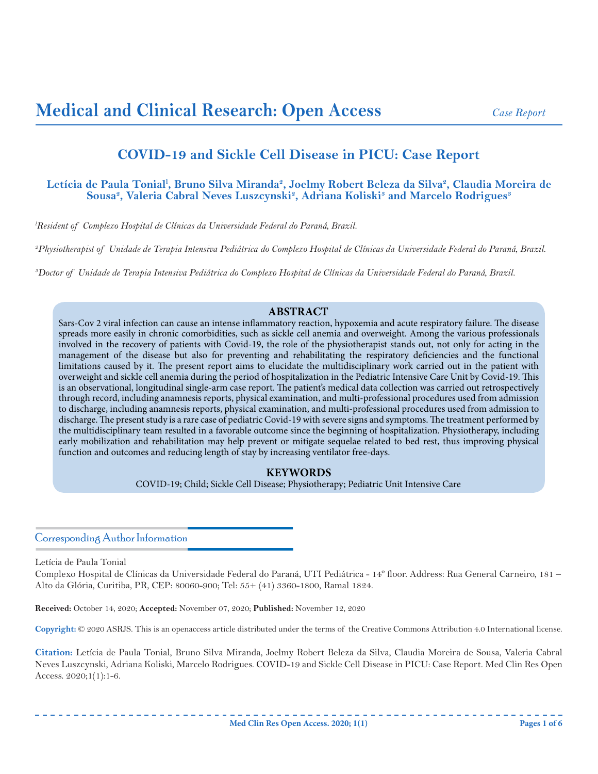# **COVID-19 and Sickle Cell Disease in PICU: Case Report**

# Letícia de Paula Tonial<sup>1</sup>, Bruno Silva Miranda<sup>2</sup>, Joelmy Robert Beleza da Silva<sup>2</sup>, Claudia Moreira de  $Sousa<sup>2</sup>, Valeria Cabral Neves Luszcynski<sup>2</sup>, Adriana Koliski<sup>3</sup> and Marcelo Rodrigues<sup>3</sup>$

*l Resident of Complexo Hospital de Clínicas da Universidade Federal do Paraná, Brazil.*

*2 Physiotherapist of Unidade de Terapia Intensiva Pediátrica do Complexo Hospital de Clínicas da Universidade Federal do Paraná, Brazil.*

*3 Doctor of Unidade de Terapia Intensiva Pediátrica do Complexo Hospital de Clínicas da Universidade Federal do Paraná, Brazil.*

# **ABSTRACT**

Sars-Cov 2 viral infection can cause an intense inflammatory reaction, hypoxemia and acute respiratory failure. The disease spreads more easily in chronic comorbidities, such as sickle cell anemia and overweight. Among the various professionals involved in the recovery of patients with Covid-19, the role of the physiotherapist stands out, not only for acting in the management of the disease but also for preventing and rehabilitating the respiratory deficiencies and the functional limitations caused by it. The present report aims to elucidate the multidisciplinary work carried out in the patient with overweight and sickle cell anemia during the period of hospitalization in the Pediatric Intensive Care Unit by Covid-19. This is an observational, longitudinal single-arm case report. The patient's medical data collection was carried out retrospectively through record, including anamnesis reports, physical examination, and multi-professional procedures used from admission to discharge, including anamnesis reports, physical examination, and multi-professional procedures used from admission to discharge. The present study is a rare case of pediatric Covid-19 with severe signs and symptoms. The treatment performed by the multidisciplinary team resulted in a favorable outcome since the beginning of hospitalization. Physiotherapy, including early mobilization and rehabilitation may help prevent or mitigate sequelae related to bed rest, thus improving physical function and outcomes and reducing length of stay by increasing ventilator free-days.

# **KEYWORDS**

COVID-19; Child; Sickle Cell Disease; Physiotherapy; Pediatric Unit Intensive Care

# Corresponding Author Information

Letícia de Paula Tonial

Complexo Hospital de Clínicas da Universidade Federal do Paraná, UTI Pediátrica - 14º floor. Address: Rua General Carneiro, 181 – Alto da Glória, Curitiba, PR, CEP: 80060-900; Tel: 55+ (41) 3360-1800, Ramal 1824.

**Received:** October 14, 2020; **Accepted:** November 07, 2020; **Published:** November 12, 2020

**Copyright:** © 2020 ASRJS. This is an openaccess article distributed under the terms of the Creative Commons Attribution 4.0 International license.

**Citation:** Letícia de Paula Tonial, Bruno Silva Miranda, Joelmy Robert Beleza da Silva, Claudia Moreira de Sousa, Valeria Cabral Neves Luszcynski, Adriana Koliski, Marcelo Rodrigues. COVID-19 and Sickle Cell Disease in PICU: Case Report. Med Clin Res Open Access. 2020;1(1):1-6.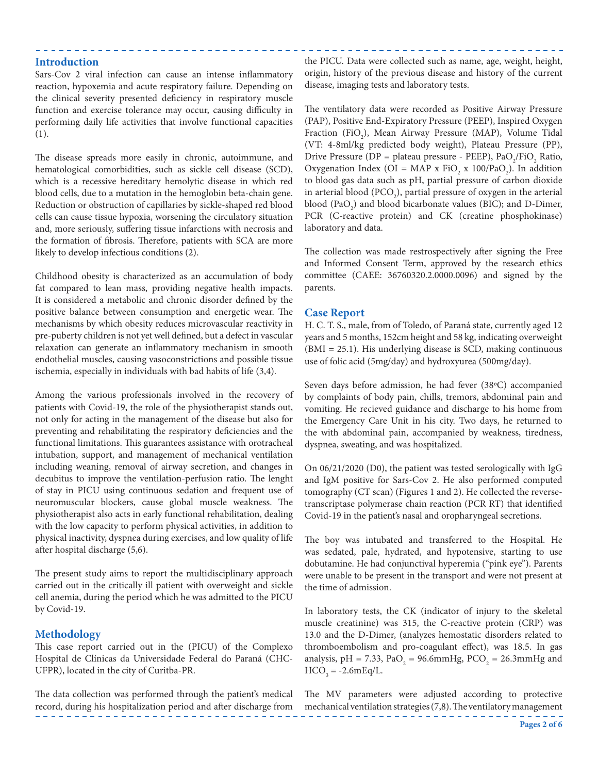#### **Introduction**

Sars-Cov 2 viral infection can cause an intense inflammatory reaction, hypoxemia and acute respiratory failure. Depending on the clinical severity presented deficiency in respiratory muscle function and exercise tolerance may occur, causing difficulty in performing daily life activities that involve functional capacities (1).

The disease spreads more easily in chronic, autoimmune, and hematological comorbidities, such as sickle cell disease (SCD), which is a recessive hereditary hemolytic disease in which red blood cells, due to a mutation in the hemoglobin beta-chain gene. Reduction or obstruction of capillaries by sickle-shaped red blood cells can cause tissue hypoxia, worsening the circulatory situation and, more seriously, suffering tissue infarctions with necrosis and the formation of fibrosis. Therefore, patients with SCA are more likely to develop infectious conditions (2).

Childhood obesity is characterized as an accumulation of body fat compared to lean mass, providing negative health impacts. It is considered a metabolic and chronic disorder defined by the positive balance between consumption and energetic wear. The mechanisms by which obesity reduces microvascular reactivity in pre-puberty children is not yet well defined, but a defect in vascular relaxation can generate an inflammatory mechanism in smooth endothelial muscles, causing vasoconstrictions and possible tissue ischemia, especially in individuals with bad habits of life (3,4).

Among the various professionals involved in the recovery of patients with Covid-19, the role of the physiotherapist stands out, not only for acting in the management of the disease but also for preventing and rehabilitating the respiratory deficiencies and the functional limitations. This guarantees assistance with orotracheal intubation, support, and management of mechanical ventilation including weaning, removal of airway secretion, and changes in decubitus to improve the ventilation-perfusion ratio. The lenght of stay in PICU using continuous sedation and frequent use of neuromuscular blockers, cause global muscle weakness. The physiotherapist also acts in early functional rehabilitation, dealing with the low capacity to perform physical activities, in addition to physical inactivity, dyspnea during exercises, and low quality of life after hospital discharge (5,6).

The present study aims to report the multidisciplinary approach carried out in the critically ill patient with overweight and sickle cell anemia, during the period which he was admitted to the PICU by Covid-19.

#### **Methodology**

This case report carried out in the (PICU) of the Complexo Hospital de Clínicas da Universidade Federal do Paraná (CHC-UFPR), located in the city of Curitba-PR.

The data collection was performed through the patient's medical record, during his hospitalization period and after discharge from the PICU. Data were collected such as name, age, weight, height, origin, history of the previous disease and history of the current disease, imaging tests and laboratory tests.

The ventilatory data were recorded as Positive Airway Pressure (PAP), Positive End-Expiratory Pressure (PEEP), Inspired Oxygen Fraction (FiO<sub>2</sub>), Mean Airway Pressure (MAP), Volume Tidal (VT: 4-8ml/kg predicted body weight), Plateau Pressure (PP), Drive Pressure (DP = plateau pressure - PEEP),  $PaO_2/FiO_2$  Ratio, Oxygenation Index (OI = MAP x FiO<sub>2</sub> x 100/PaO<sub>2</sub>). In addition to blood gas data such as pH, partial pressure of carbon dioxide in arterial blood (PCO<sub>2</sub>), partial pressure of oxygen in the arterial blood  $(PaO_2)$  and blood bicarbonate values (BIC); and D-Dimer, PCR (C-reactive protein) and CK (creatine phosphokinase) laboratory and data.

The collection was made restrospectively after signing the Free and Informed Consent Term, approved by the research ethics committee (CAEE: 36760320.2.0000.0096) and signed by the parents.

#### **Case Report**

H. C. T. S., male, from of Toledo, of Paraná state, currently aged 12 years and 5 months, 152cm height and 58 kg, indicating overweight (BMI = 25.1). His underlying disease is SCD, making continuous use of folic acid (5mg/day) and hydroxyurea (500mg/day).

Seven days before admission, he had fever (38ºC) accompanied by complaints of body pain, chills, tremors, abdominal pain and vomiting. He recieved guidance and discharge to his home from the Emergency Care Unit in his city. Two days, he returned to the with abdominal pain, accompanied by weakness, tiredness, dyspnea, sweating, and was hospitalized.

On 06/21/2020 (D0), the patient was tested serologically with IgG and IgM positive for Sars-Cov 2. He also performed computed tomography (CT scan) (Figures 1 and 2). He collected the reversetranscriptase polymerase chain reaction (PCR RT) that identified Covid-19 in the patient's nasal and oropharyngeal secretions.

The boy was intubated and transferred to the Hospital. He was sedated, pale, hydrated, and hypotensive, starting to use dobutamine. He had conjunctival hyperemia ("pink eye"). Parents were unable to be present in the transport and were not present at the time of admission.

In laboratory tests, the CK (indicator of injury to the skeletal muscle creatinine) was 315, the C-reactive protein (CRP) was 13.0 and the D-Dimer, (analyzes hemostatic disorders related to thromboembolism and pro-coagulant effect), was 18.5. In gas analysis, pH = 7.33, PaO<sub>2</sub> = 96.6mmHg, PCO<sub>2</sub> = 26.3mmHg and  $HCO<sub>3</sub> = -2.6$ mEq/L.

The MV parameters were adjusted according to protective mechanical ventilation strategies (7,8). The ventilatory management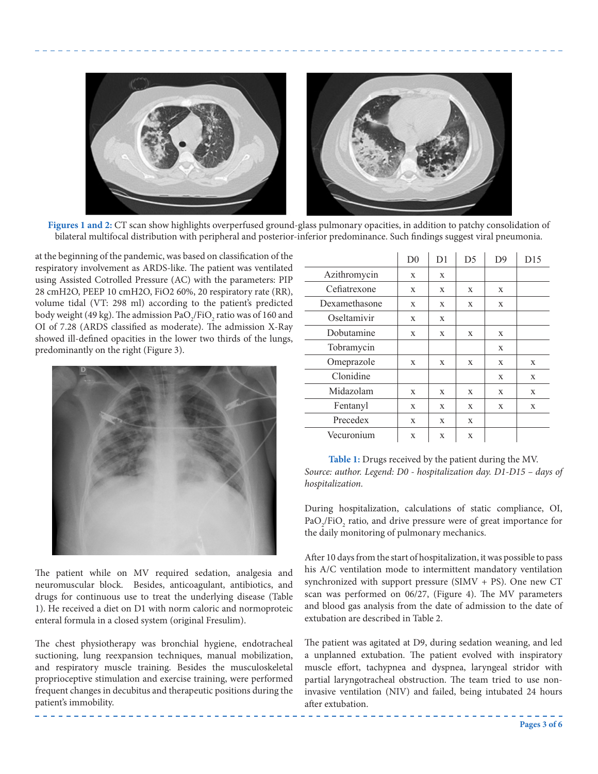

**Figures 1 and 2:** CT scan show highlights overperfused ground-glass pulmonary opacities, in addition to patchy consolidation of bilateral multifocal distribution with peripheral and posterior-inferior predominance. Such findings suggest viral pneumonia.

at the beginning of the pandemic, was based on classification of the respiratory involvement as ARDS-like. The patient was ventilated using Assisted Cotrolled Pressure (AC) with the parameters: PIP 28 cmH2O, PEEP 10 cmH2O, FiO2 60%, 20 respiratory rate (RR), volume tidal (VT: 298 ml) according to the patient's predicted body weight (49 kg). The admission Pa $\rm O_2/FiO_2$  ratio was of 160 and OI of 7.28 (ARDS classified as moderate). The admission X-Ray showed ill-defined opacities in the lower two thirds of the lungs, predominantly on the right (Figure 3).



The patient while on MV required sedation, analgesia and neuromuscular block. Besides, anticoagulant, antibiotics, and drugs for continuous use to treat the underlying disease (Table 1). He received a diet on D1 with norm caloric and normoproteic enteral formula in a closed system (original Fresulim).

The chest physiotherapy was bronchial hygiene, endotracheal suctioning, lung reexpansion techniques, manual mobilization, and respiratory muscle training. Besides the musculoskeletal proprioceptive stimulation and exercise training, were performed frequent changes in decubitus and therapeutic positions during the patient's immobility.

|               | D <sub>0</sub> | D <sub>1</sub> | D <sub>5</sub> | D <sup>9</sup> | D15          |
|---------------|----------------|----------------|----------------|----------------|--------------|
| Azithromycin  | X              | X              |                |                |              |
| Cefiatrexone  | X              | X              | X              | X              |              |
| Dexamethasone | X              | X              | X              | X              |              |
| Oseltamivir   | X              | X              |                |                |              |
| Dobutamine    | X              | X              | X              | X              |              |
| Tobramycin    |                |                |                | X              |              |
| Omeprazole    | X              | X              | X              | X              | $\mathbf{x}$ |
| Clonidine     |                |                |                | X              | X            |
| Midazolam     | X              | X              | X              | X              | X            |
| Fentanyl      | X              | X              | X              | X              | X            |
| Precedex      | X              | X              | X              |                |              |
| Vecuronium    | X              | X              | X              |                |              |

**Table 1:** Drugs received by the patient during the MV. *Source: author. Legend: D0 - hospitalization day. D1-D15 – days of hospitalization.*

During hospitalization, calculations of static compliance, OI,  $PaO_2$ /FiO<sub>2</sub> ratio, and drive pressure were of great importance for the daily monitoring of pulmonary mechanics.

After 10 days from the start of hospitalization, it was possible to pass his A/C ventilation mode to intermittent mandatory ventilation synchronized with support pressure (SIMV + PS). One new CT scan was performed on 06/27, (Figure 4). The MV parameters and blood gas analysis from the date of admission to the date of extubation are described in Table 2.

The patient was agitated at D9, during sedation weaning, and led a unplanned extubation. The patient evolved with inspiratory muscle effort, tachypnea and dyspnea, laryngeal stridor with partial laryngotracheal obstruction. The team tried to use noninvasive ventilation (NIV) and failed, being intubated 24 hours after extubation.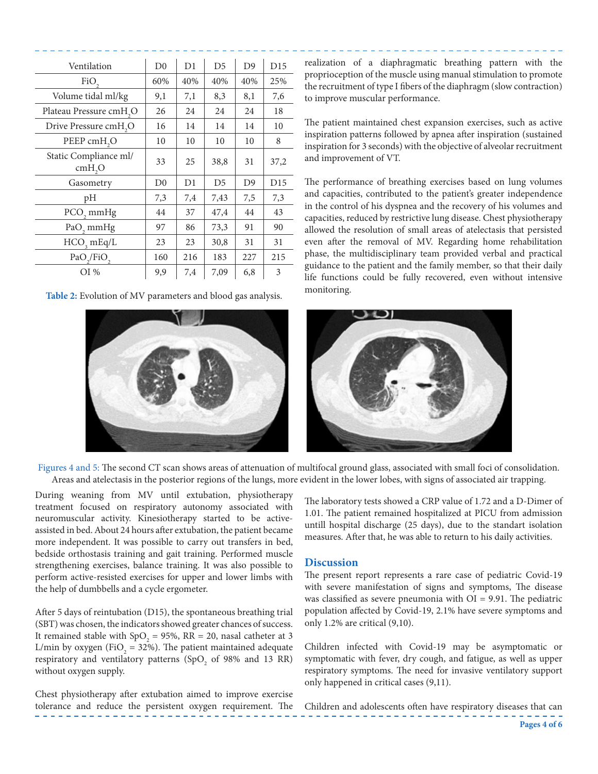| Ventilation                                 | D <sub>0</sub> | D1  | D <sub>5</sub> | D <sub>9</sub> | D15             |
|---------------------------------------------|----------------|-----|----------------|----------------|-----------------|
| FiO,                                        | 60%            | 40% | 40%            | 40%            | 25%             |
| Volume tidal ml/kg                          | 9,1            | 7,1 | 8,3            | 8,1            | 7,6             |
| Plateau Pressure cmH <sub>2</sub> O         | 26             | 24  | 24             | 24             | 18              |
| Drive Pressure cmH <sub>2</sub> O           | 16             | 14  | 14             | 14             | 10              |
| PEEP cmH <sub>2</sub> O                     | 10             | 10  | 10             | 10             | 8               |
| Static Compliance ml/<br>cmH <sub>2</sub> O | 33             | 25  | 38,8           | 31             | 37,2            |
| Gasometry                                   | D <sub>0</sub> | D1  | D <sub>5</sub> | D <sub>9</sub> | D <sub>15</sub> |
| pH                                          | 7,3            | 7,4 | 7,43           | 7,5            | 7,3             |
| PCO <sub>2</sub> mmHg                       | 44             | 37  | 47,4           | 44             | 43              |
| PaO <sub>2</sub> mmHg                       | 97             | 86  | 73,3           | 91             | 90              |
| $HCO$ <sub>3</sub> mEq/L                    | 23             | 23  | 30,8           | 31             | 31              |
| $PaO_{2}/FiO_{2}$                           | 160            | 216 | 183            | 227            | 215             |
| $OI$ %                                      | 9,9            | 7,4 | 7,09           | 6,8            | 3               |

**Table 2:** Evolution of MV parameters and blood gas analysis.

realization of a diaphragmatic breathing pattern with the proprioception of the muscle using manual stimulation to promote the recruitment of type I fibers of the diaphragm (slow contraction) to improve muscular performance.

The patient maintained chest expansion exercises, such as active inspiration patterns followed by apnea after inspiration (sustained inspiration for 3 seconds) with the objective of alveolar recruitment and improvement of VT.

The performance of breathing exercises based on lung volumes and capacities, contributed to the patient's greater independence in the control of his dyspnea and the recovery of his volumes and capacities, reduced by restrictive lung disease. Chest physiotherapy allowed the resolution of small areas of atelectasis that persisted even after the removal of MV. Regarding home rehabilitation phase, the multidisciplinary team provided verbal and practical guidance to the patient and the family member, so that their daily life functions could be fully recovered, even without intensive monitoring.



Figures 4 and 5: The second CT scan shows areas of attenuation of multifocal ground glass, associated with small foci of consolidation. Areas and atelectasis in the posterior regions of the lungs, more evident in the lower lobes, with signs of associated air trapping.

During weaning from MV until extubation, physiotherapy treatment focused on respiratory autonomy associated with neuromuscular activity. Kinesiotherapy started to be activeassisted in bed. About 24 hours after extubation, the patient became more independent. It was possible to carry out transfers in bed, bedside orthostasis training and gait training. Performed muscle strengthening exercises, balance training. It was also possible to perform active-resisted exercises for upper and lower limbs with the help of dumbbells and a cycle ergometer.

After 5 days of reintubation (D15), the spontaneous breathing trial (SBT) was chosen, the indicators showed greater chances of success. It remained stable with  $SpO<sub>2</sub> = 95%$ , RR = 20, nasal catheter at 3 L/min by oxygen (FiO<sub>2</sub> = 32%). The patient maintained adequate respiratory and ventilatory patterns  $(SpO<sub>2</sub>$  of 98% and 13 RR) without oxygen supply.

Chest physiotherapy after extubation aimed to improve exercise tolerance and reduce the persistent oxygen requirement. The The laboratory tests showed a CRP value of 1.72 and a D-Dimer of 1.01. The patient remained hospitalized at PICU from admission untill hospital discharge (25 days), due to the standart isolation measures. After that, he was able to return to his daily activities.

## **Discussion**

The present report represents a rare case of pediatric Covid-19 with severe manifestation of signs and symptoms, The disease was classified as severe pneumonia with OI = 9.91. The pediatric population affected by Covid-19, 2.1% have severe symptoms and only 1.2% are critical (9,10).

Children infected with Covid-19 may be asymptomatic or symptomatic with fever, dry cough, and fatigue, as well as upper respiratory symptoms. The need for invasive ventilatory support only happened in critical cases (9,11).

Children and adolescents often have respiratory diseases that can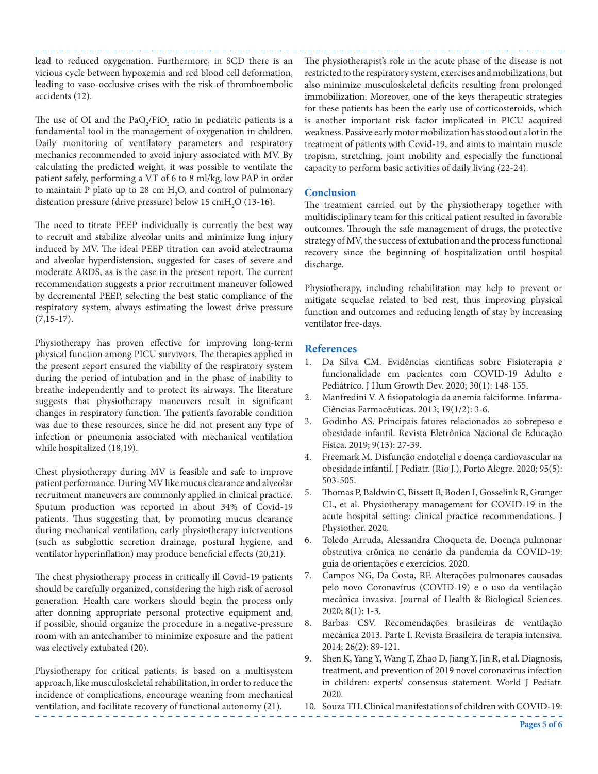lead to reduced oxygenation. Furthermore, in SCD there is an vicious cycle between hypoxemia and red blood cell deformation, leading to vaso-occlusive crises with the risk of thromboembolic accidents (12).

The use of OI and the  $PaO_2/FiO_2$  ratio in pediatric patients is a fundamental tool in the management of oxygenation in children. Daily monitoring of ventilatory parameters and respiratory mechanics recommended to avoid injury associated with MV. By calculating the predicted weight, it was possible to ventilate the patient safely, performing a VT of 6 to 8 ml/kg, low PAP in order to maintain P plato up to 28 cm  $H_2O$ , and control of pulmonary distention pressure (drive pressure) below 15  $\text{cm}$ H<sub>2</sub>O (13-16).

The need to titrate PEEP individually is currently the best way to recruit and stabilize alveolar units and minimize lung injury induced by MV. The ideal PEEP titration can avoid atelectrauma and alveolar hyperdistension, suggested for cases of severe and moderate ARDS, as is the case in the present report. The current recommendation suggests a prior recruitment maneuver followed by decremental PEEP, selecting the best static compliance of the respiratory system, always estimating the lowest drive pressure  $(7,15-17)$ .

Physiotherapy has proven effective for improving long-term physical function among PICU survivors. The therapies applied in the present report ensured the viability of the respiratory system during the period of intubation and in the phase of inability to breathe independently and to protect its airways. The literature suggests that physiotherapy maneuvers result in significant changes in respiratory function. The patient's favorable condition was due to these resources, since he did not present any type of infection or pneumonia associated with mechanical ventilation while hospitalized (18,19).

Chest physiotherapy during MV is feasible and safe to improve patient performance. During MV like mucus clearance and alveolar recruitment maneuvers are commonly applied in clinical practice. Sputum production was reported in about 34% of Covid-19 patients. Thus suggesting that, by promoting mucus clearance during mechanical ventilation, early physiotherapy interventions (such as subglottic secretion drainage, postural hygiene, and ventilator hyperinflation) may produce beneficial effects (20,21).

The chest physiotherapy process in critically ill Covid-19 patients should be carefully organized, considering the high risk of aerosol generation. Health care workers should begin the process only after donning appropriate personal protective equipment and, if possible, should organize the procedure in a negative-pressure room with an antechamber to minimize exposure and the patient was electively extubated (20).

Physiotherapy for critical patients, is based on a multisystem approach, like musculoskeletal rehabilitation, in order to reduce the incidence of complications, encourage weaning from mechanical ventilation, and facilitate recovery of functional autonomy (21).

The physiotherapist's role in the acute phase of the disease is not restricted to the respiratory system, exercises and mobilizations, but also minimize musculoskeletal deficits resulting from prolonged immobilization. Moreover, one of the keys therapeutic strategies for these patients has been the early use of corticosteroids, which is another important risk factor implicated in PICU acquired weakness. Passive early motor mobilization has stood out a lot in the treatment of patients with Covid-19, and aims to maintain muscle tropism, stretching, joint mobility and especially the functional capacity to perform basic activities of daily living (22-24).

## **Conclusion**

The treatment carried out by the physiotherapy together with multidisciplinary team for this critical patient resulted in favorable outcomes. Through the safe management of drugs, the protective strategy of MV, the success of extubation and the process functional recovery since the beginning of hospitalization until hospital discharge.

Physiotherapy, including rehabilitation may help to prevent or mitigate sequelae related to bed rest, thus improving physical function and outcomes and reducing length of stay by increasing ventilator free-days.

# **References**

- 1. Da Silva CM. Evidências científicas sobre Fisioterapia e funcionalidade em pacientes com COVID-19 Adulto e Pediátrico. J Hum Growth Dev. 2020; 30(1): 148-155.
- 2. Manfredini V. A fisiopatologia da anemia falciforme. Infarma-Ciências Farmacêuticas. 2013; 19(1/2): 3-6.
- 3. Godinho AS. Principais fatores relacionados ao sobrepeso e obesidade infantil. Revista Eletrônica Nacional de Educação Física. 2019; 9(13): 27-39.
- 4. Freemark M. Disfunção endotelial e doença cardiovascular na obesidade infantil. J Pediatr. (Rio J.), Porto Alegre. 2020; 95(5): 503-505.
- 5. Thomas P, Baldwin C, Bissett B, Boden I, Gosselink R, Granger CL, et al. Physiotherapy management for COVID-19 in the acute hospital setting: clinical practice recommendations. J Physiother. 2020.
- 6. Toledo Arruda, Alessandra Choqueta de. Doença pulmonar obstrutiva crônica no cenário da pandemia da COVID-19: guia de orientações e exercícios. 2020.
- 7. Campos NG, Da Costa, RF. Alterações pulmonares causadas pelo novo Coronavírus (COVID-19) e o uso da ventilação mecânica invasiva. Journal of Health & Biological Sciences. 2020; 8(1): 1-3.
- 8. Barbas CSV. Recomendações brasileiras de ventilação mecânica 2013. Parte I. Revista Brasileira de terapia intensiva. 2014; 26(2): 89-121.
- 9. Shen K, Yang Y, Wang T, Zhao D, Jiang Y, Jin R, et al. Diagnosis, treatment, and prevention of 2019 novel coronavirus infection in children: experts' consensus statement. World J Pediatr. 2020.
- 10. Souza TH. Clinical manifestations of children with COVID‐19: